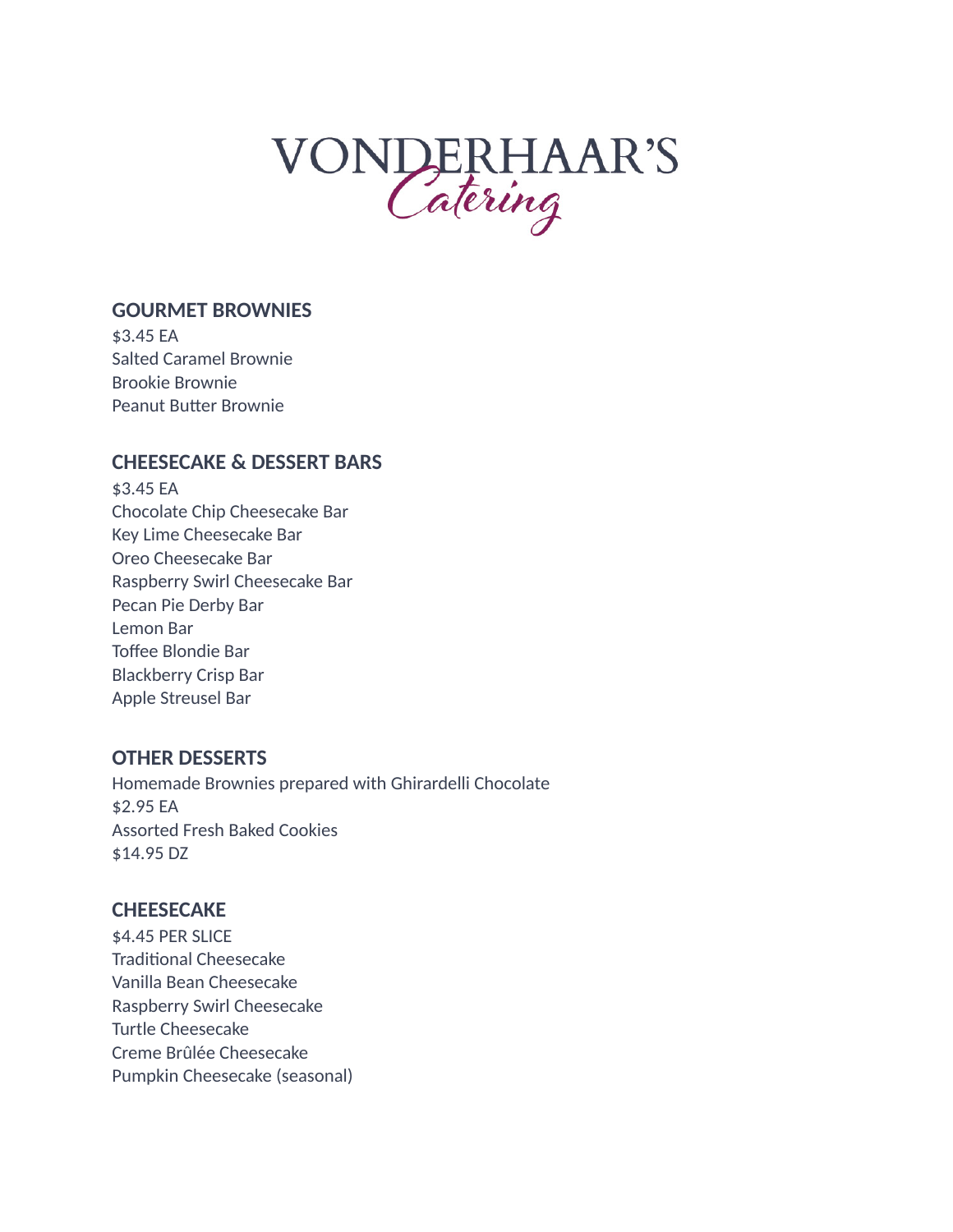# VONDERHAAR'S

#### **GOURMET BROWNIES**

\$3.45 EA Salted Caramel Brownie Brookie Brownie Peanut Butter Brownie

### **CHEESECAKE & DESSERT BARS**

\$3.45 EA Chocolate Chip Cheesecake Bar Key Lime Cheesecake Bar Oreo Cheesecake Bar Raspberry Swirl Cheesecake Bar Pecan Pie Derby Bar Lemon Bar Toffee Blondie Bar Blackberry Crisp Bar Apple Streusel Bar

#### **OTHER DESSERTS**

Homemade Brownies prepared with Ghirardelli Chocolate \$2.95 EA Assorted Fresh Baked Cookies \$14.95 DZ

## **CHEESECAKE**

\$4.45 PER SLICE Traditional Cheesecake Vanilla Bean Cheesecake Raspberry Swirl Cheesecake Turtle Cheesecake Creme Brûlée Cheesecake Pumpkin Cheesecake (seasonal)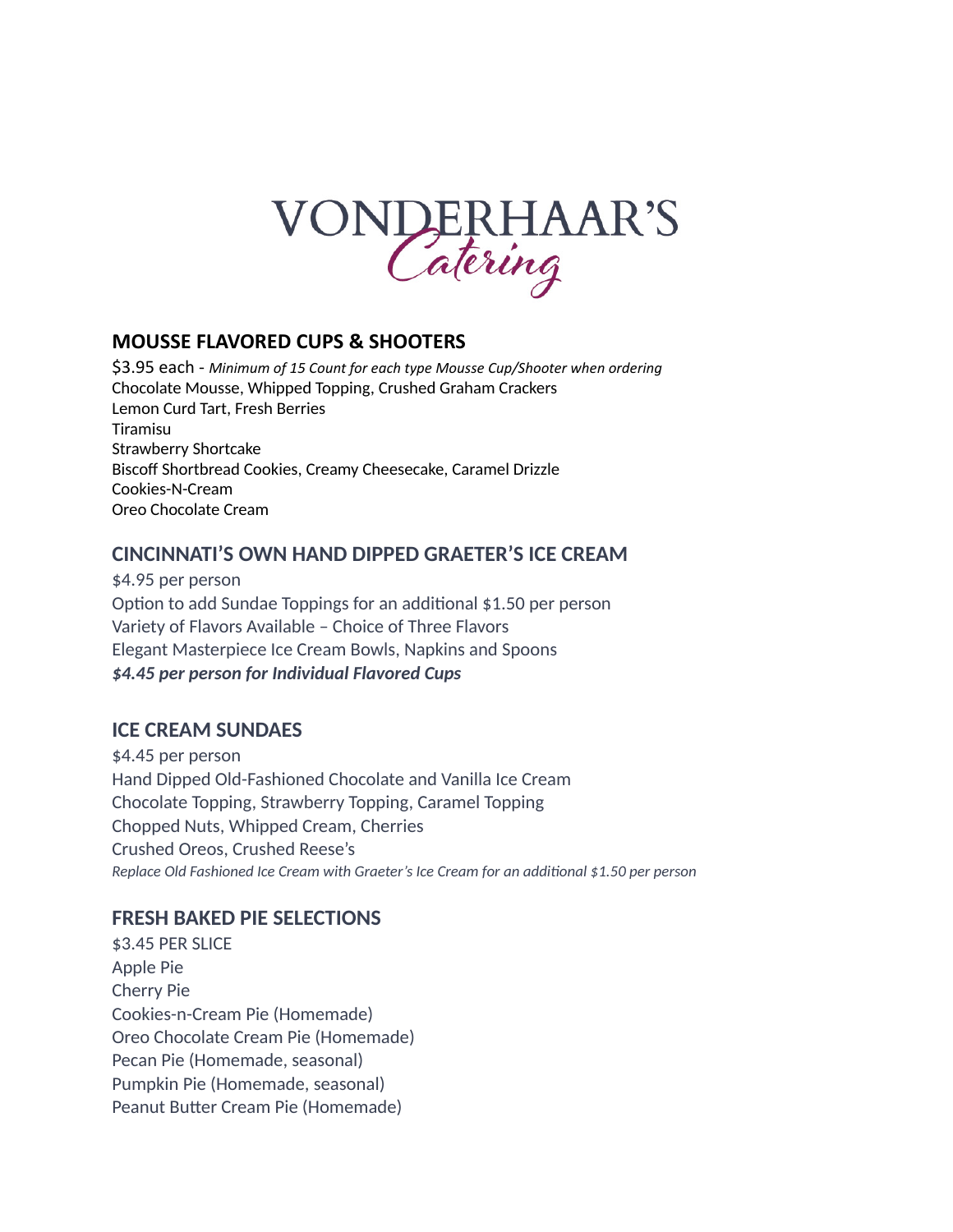

#### **MOUSSE FLAVORED CUPS & SHOOTERS**

\$3.95 each - *Minimum of 15 Count for each type Mousse Cup/Shooter when ordering*  Chocolate Mousse, Whipped Topping, Crushed Graham Crackers Lemon Curd Tart, Fresh Berries Tiramisu Strawberry Shortcake Biscoff Shortbread Cookies, Creamy Cheesecake, Caramel Drizzle Cookies-N-Cream Oreo Chocolate Cream

### **CINCINNATI'S OWN HAND DIPPED GRAETER'S ICE CREAM**

\$4.95 per person Option to add Sundae Toppings for an additional \$1.50 per person Variety of Flavors Available – Choice of Three Flavors Elegant Masterpiece Ice Cream Bowls, Napkins and Spoons *\$4.45 per person for Individual Flavored Cups*

## **ICE CREAM SUNDAES**

\$4.45 per person Hand Dipped Old-Fashioned Chocolate and Vanilla Ice Cream Chocolate Topping, Strawberry Topping, Caramel Topping Chopped Nuts, Whipped Cream, Cherries Crushed Oreos, Crushed Reese's *Replace Old Fashioned Ice Cream with Graeter's Ice Cream for an additional \$1.50 per person*

## **FRESH BAKED PIE SELECTIONS**

\$3.45 PER SLICE Apple Pie Cherry Pie Cookies-n-Cream Pie (Homemade) Oreo Chocolate Cream Pie (Homemade) Pecan Pie (Homemade, seasonal) Pumpkin Pie (Homemade, seasonal) Peanut Butter Cream Pie (Homemade)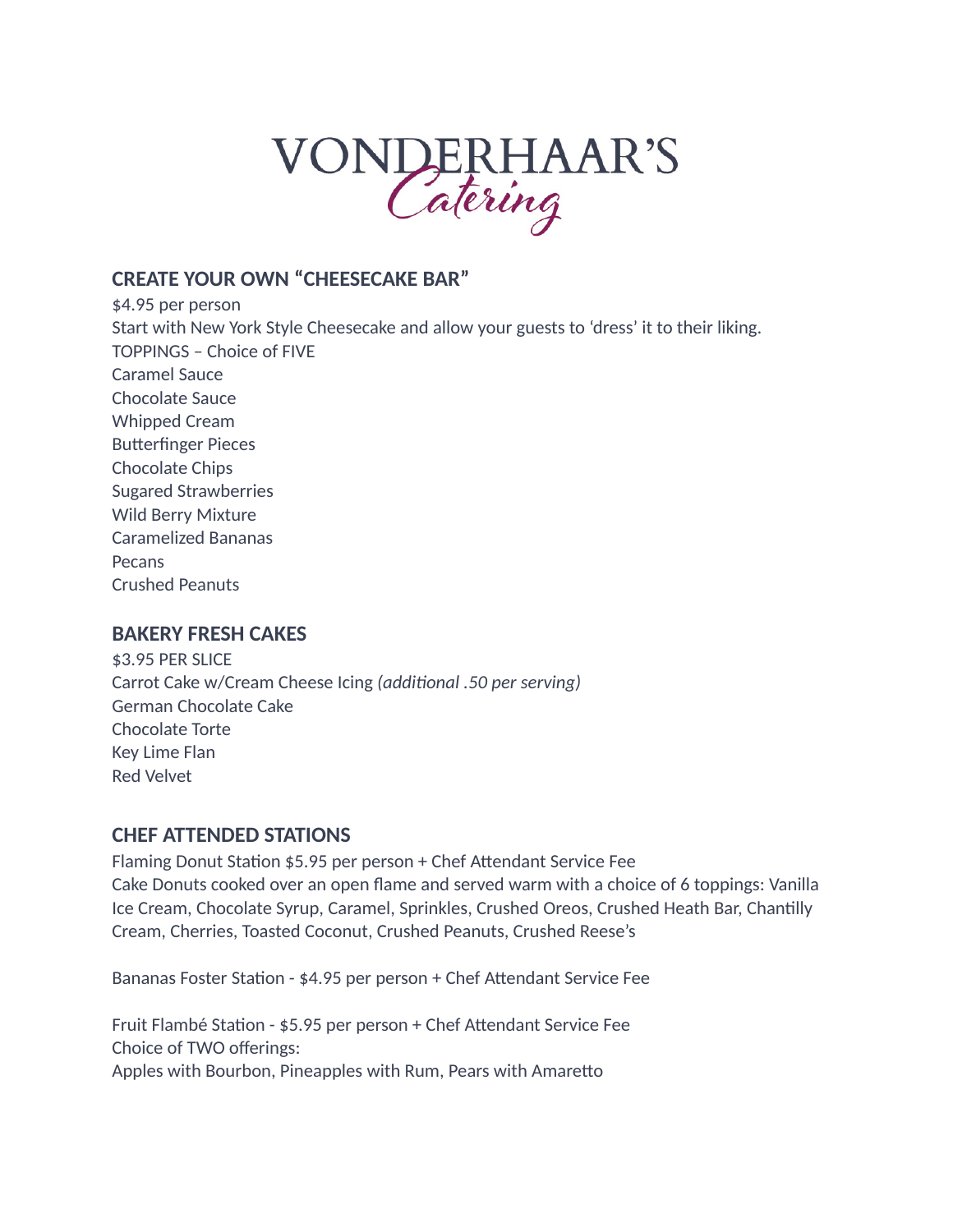## VONDERHAAR'S

## **CREATE YOUR OWN "CHEESECAKE BAR"**

\$4.95 per person Start with New York Style Cheesecake and allow your guests to 'dress' it to their liking. TOPPINGS – Choice of FIVE Caramel Sauce Chocolate Sauce Whipped Cream Butterfinger Pieces Chocolate Chips Sugared Strawberries Wild Berry Mixture Caramelized Bananas Pecans Crushed Peanuts

#### **BAKERY FRESH CAKES**

\$3.95 PER SLICE Carrot Cake w/Cream Cheese Icing *(additional .50 per serving)* German Chocolate Cake Chocolate Torte Key Lime Flan Red Velvet

#### **CHEF ATTENDED STATIONS**

Flaming Donut Station \$5.95 per person + Chef Attendant Service Fee Cake Donuts cooked over an open flame and served warm with a choice of 6 toppings: Vanilla Ice Cream, Chocolate Syrup, Caramel, Sprinkles, Crushed Oreos, Crushed Heath Bar, Chantilly Cream, Cherries, Toasted Coconut, Crushed Peanuts, Crushed Reese's

Bananas Foster Station - \$4.95 per person + Chef Attendant Service Fee

Fruit Flambé Station - \$5.95 per person + Chef Attendant Service Fee Choice of TWO offerings: Apples with Bourbon, Pineapples with Rum, Pears with Amaretto